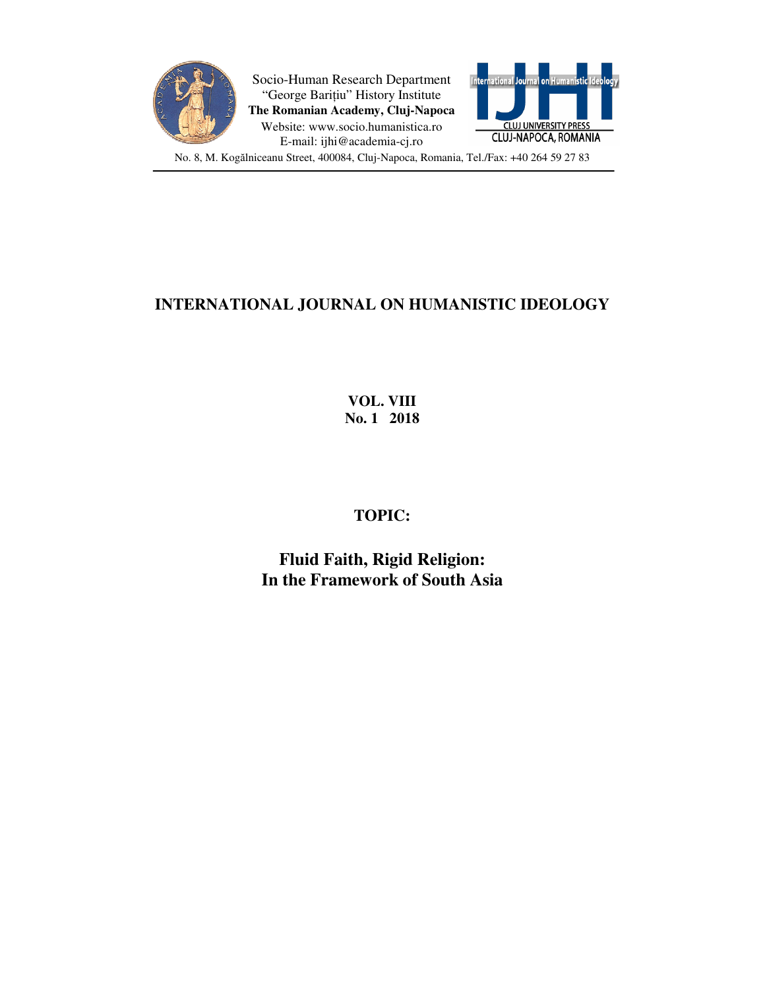

Socio-Human Research Department "George Barițiu" History Institute **The Romanian Academy, Cluj-Napoca** Website: www.socio.humanistica.ro E-mail: ijhi@academia-cj.ro



No. 8, M. Kogălniceanu Street, 400084, Cluj-Napoca, Romania, Tel./Fax: +40 264 59 27 83

## **INTERNATIONAL JOURNAL ON HUMANISTIC IDEOLOGY**

**VOL. VIII No. 1 2018** 

## **TOPIC:**

**Fluid Faith, Rigid Religion: In the Framework of South Asia**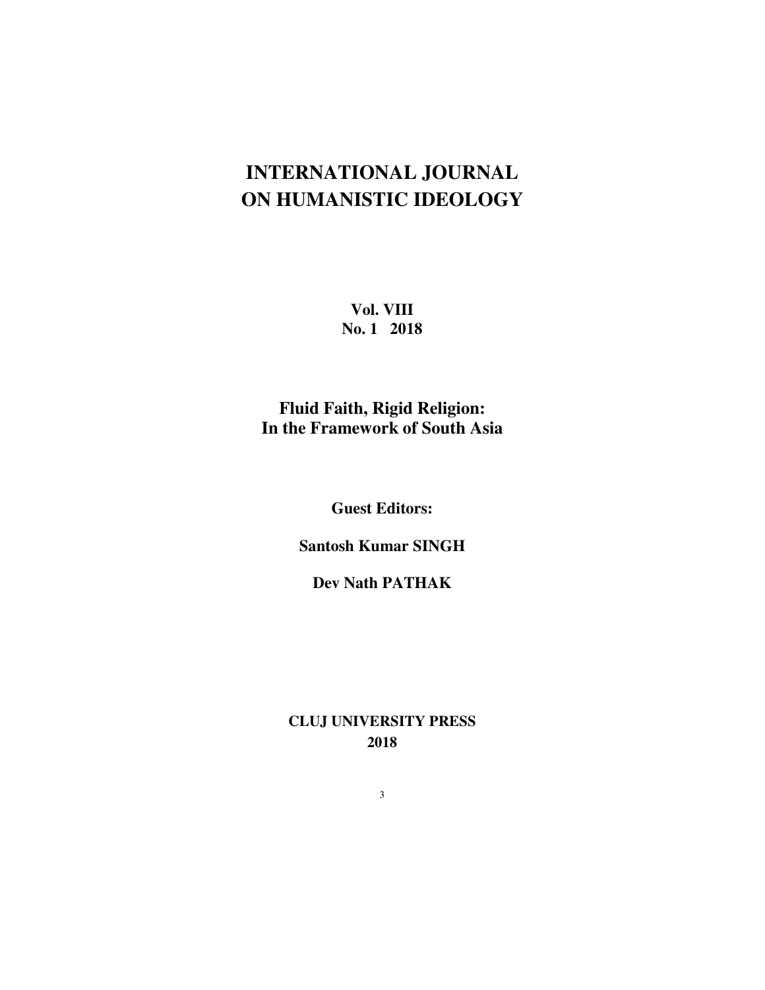## **INTERNATIONAL JOURNAL ON HUMANISTIC IDEOLOGY**

**Vol. VIII No. 1 2018** 

**Fluid Faith, Rigid Religion: In the Framework of South Asia** 

**Guest Editors:** 

**Santosh Kumar SINGH** 

**Dev Nath PATHAK** 

**CLUJ UNIVERSITY PRESS 2018** 

3